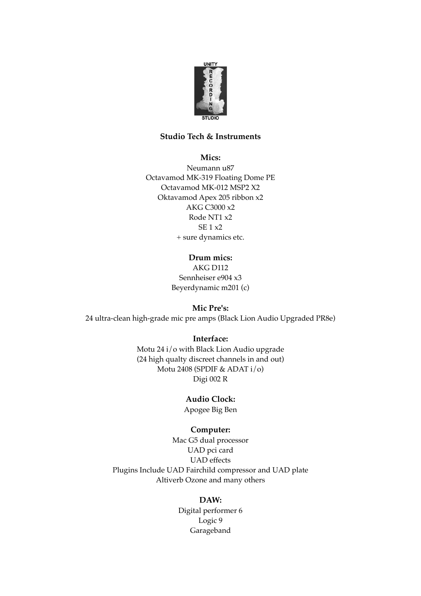

# **Studio Tech & Instruments**

**Mics:**

Neumann u87 Octavamod MK-319 Floating Dome PE Octavamod MK-012 MSP2 X2 Oktavamod Apex 205 ribbon x2 AKG C3000 x2 Rode NT1 x2 SE 1 x2 + sure dynamics etc.

**Drum mics:**

AKG D112 Sennheiser e904 x3 Beyerdynamic m201 (c)

**Mic Pre's:** 24 ultra-clean high-grade mic pre amps (Black Lion Audio Upgraded PR8e)

**Interface:**

Motu 24 i/o with Black Lion Audio upgrade (24 high qualty discreet channels in and out) Motu 2408 (SPDIF & ADAT i/o) Digi 002 R

**Audio Clock:**

Apogee Big Ben

### **Computer:**

Mac G5 dual processor UAD pci card UAD effects Plugins Include UAD Fairchild compressor and UAD plate Altiverb Ozone and many others

## **DAW:**

Digital performer 6 Logic 9 Garageband